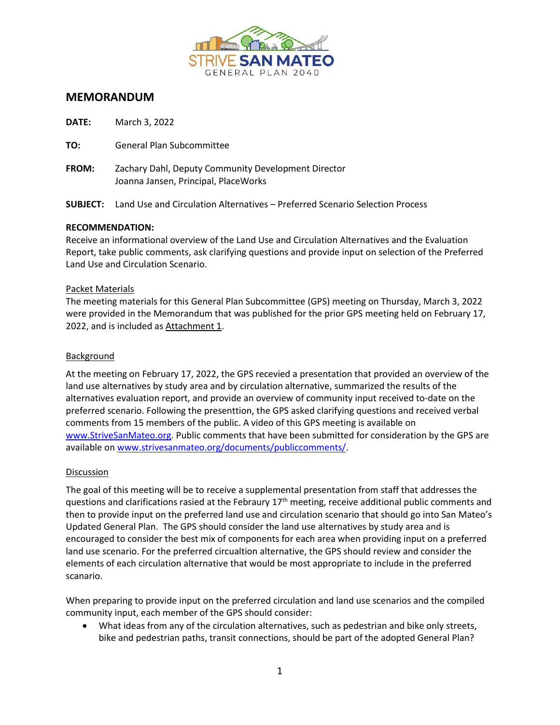

# **MEMORANDUM**

| <b>DATE:</b> | March 3, 2022                                                                                |
|--------------|----------------------------------------------------------------------------------------------|
| TO:          | General Plan Subcommittee                                                                    |
| <b>FROM:</b> | Zachary Dahl, Deputy Community Development Director<br>Joanna Jansen, Principal, PlaceWorks  |
|              | <b>SUBJECT:</b> Land Use and Circulation Alternatives – Preferred Scenario Selection Process |

#### **RECOMMENDATION:**

Receive an informational overview of the Land Use and Circulation Alternatives and the Evaluation Report, take public comments, ask clarifying questions and provide input on selection of the Preferred Land Use and Circulation Scenario.

#### Packet Materials

The meeting materials for this General Plan Subcommittee (GPS) meeting on Thursday, March 3, 2022 were provided in the Memorandum that was published for the prior GPS meeting held on February 17, 2022, and is included as Attachment 1.

#### Background

At the meeting on February 17, 2022, the GPS recevied a presentation that provided an overview of the land use alternatives by study area and by circulation alternative, summarized the results of the alternatives evaluation report, and provide an overview of community input received to-date on the preferred scenario. Following the presenttion, the GPS asked clarifying questions and received verbal comments from 15 members of the public. A video of this GPS meeting is available on [www.StriveSanMateo.org.](http://www.strivesanmateo.org/) Public comments that have been submitted for consideration by the GPS are available on [www.strivesanmateo.org/documents/publiccomments/.](http://www.strivesanmateo.org/documents/publiccomments/)

#### Discussion

The goal of this meeting will be to receive a supplemental presentation from staff that addresses the questions and clarifications rasied at the Febraury  $17<sup>th</sup>$  meeting, receive additional public comments and then to provide input on the preferred land use and circulation scenario that should go into San Mateo's Updated General Plan. The GPS should consider the land use alternatives by study area and is encouraged to consider the best mix of components for each area when providing input on a preferred land use scenario. For the preferred circualtion alternative, the GPS should review and consider the elements of each circulation alternative that would be most appropriate to include in the preferred scanario.

When preparing to provide input on the preferred circulation and land use scenarios and the compiled community input, each member of the GPS should consider:

• What ideas from any of the circulation alternatives, such as pedestrian and bike only streets, bike and pedestrian paths, transit connections, should be part of the adopted General Plan?